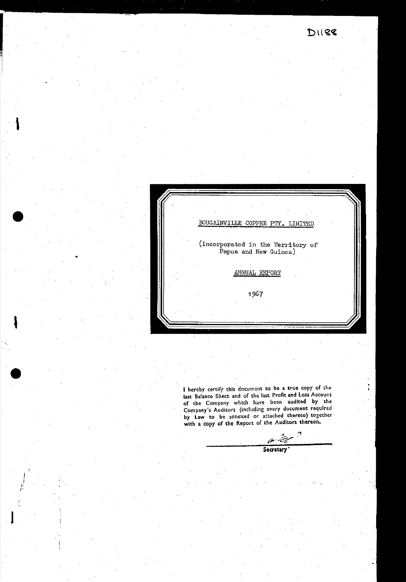

I hereby certify this document to be a true copy of the last Balance Sheet and of the last Profit and Loss Account<br>of the Company which have been audited by the or the Company's Auditors (including every document required<br>by Law to be annexed or attached thereto) together<br>with a copy of the Report of the Auditors thereon.

Secretary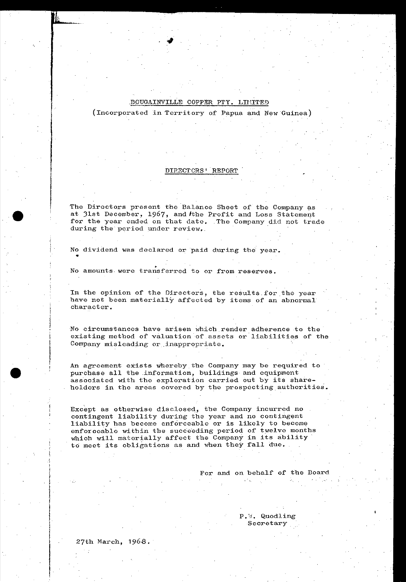(Incorporated in Territory of Papua and New Guinea)

#### DIRECTCRS' REPORT

The Directors present the Balance Sheet of the Company as at 31st December, 1967, and the Profit and Loss Statement for the year ended on that date. The Company did not trade during the period under review.

No dividend was declared or paid during the year.

. No amounts· were transferred to or from reserves.

In the opinion of the Directors, the results for the year have not been materially affected by items of an abnormal character.

No circumstances have arisen which render adherence to the existing method of valuation of assets or liabilities of the Company misleading or inappropriate.

An agreement exists whereby the Company may be required to purchase all the information, buildings and equipment associated with the exploration carried out by its shareholders in the areas covered by the prospecting authorities.

Except as otherwise disclosed, the Company incurred no contingent liability during the year and no contingent liability bas become enforceable or is likely to become enforceable within the succeeding period of twelve months<br>which will materially affect the Company in its ability to meet its obligations as and when they fall due.

#### For and on behalf of the Board

P. W. Quodling Secretary

27th March, 1968.

•

•

•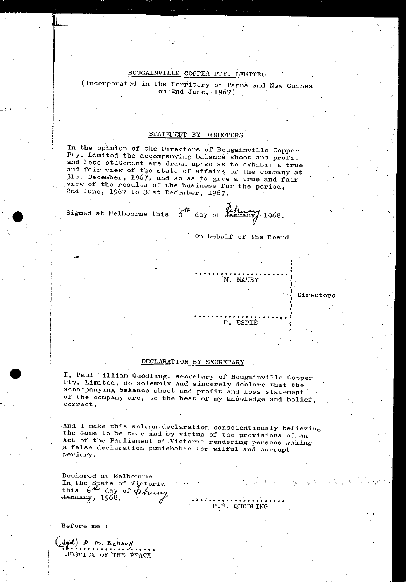(Incorporated in the Territory of Papua and New Guinea on 2nd June, 1967)

#### STATEMENT BY DIRECTORS

In the opinion of the Directors of Bougainville Copper Pty. Limited the accompanying balance sheet and profit and loss statement are drawn up so as to exhibit a true and fair view of the state of affairs of the company at 31st December, 1967, and so as to give a true and fair<br>view of the results of the business for the period, 2nd June, 1967 to 31st December, 1967.

Signed at Melbourne this 5th day of Linuary 1968.

On behalf of the Board

M. MANBY

F. ESPIE

#### Directors

 $\mathcal{O}_{\mathcal{M}_{\mathcal{B}}}=\mathcal{O}_{\mathcal{B}}\left(\mathcal{B}_{\mathcal{B}}\right)=\mathcal{A}_{\mathcal{B}}$ 

#### DECLARATION BY SECRETARY

I, Paul Villiam Quodling, secretary of Bougainville Copper<br>Pty. Limited, do solemnly and sincerely declare that the accompanying balance sheet and profit and loss statement of the company are, to the best of my knowledge and belief, correct.

And I make this solemn declaration conscientiously believing the same to be true and by virtue of the provisions of an Act of the Parliament of Victoria rendering persons making a false declaration punishable for wilful and corrupt perjury.

Declared at Melbourne In the State of Victoria<br>this  $6\frac{d\pi}{d\alpha}$  day of the theory January, 1968.

 $P.$   $\theta$ . QUODLING

Before me :

Agal) D m BENSON JUSTICE OF THE PEACE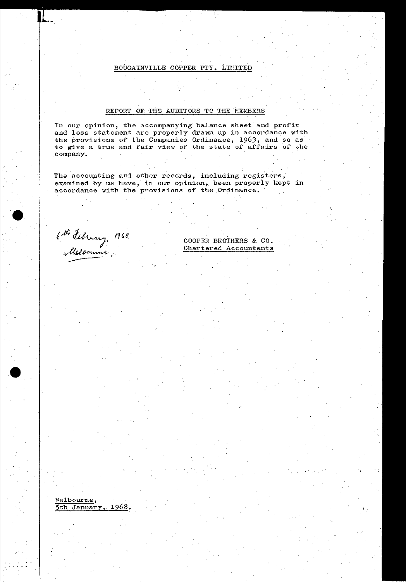#### REPORT OF THE AUDITORS TO THE FEMBERS

In our opinion, the accompanying balance sheet and profit and loss statement are properly drawn up in accordance with the provisions of the Companies Ordinance, 1963, and so as to give a true and fair view of the state of affairs of the company ..

The accounting and other records, including registers, examined by us have, in our opinion, been properly kept in accordance with the provisions of the Ordinance.

6th February 1968.<br>Alfloorume,

Nelbourne,

5th January, 1968.

•

•<br>•

COOPER BROTHERS & CO. Chartered Accountants